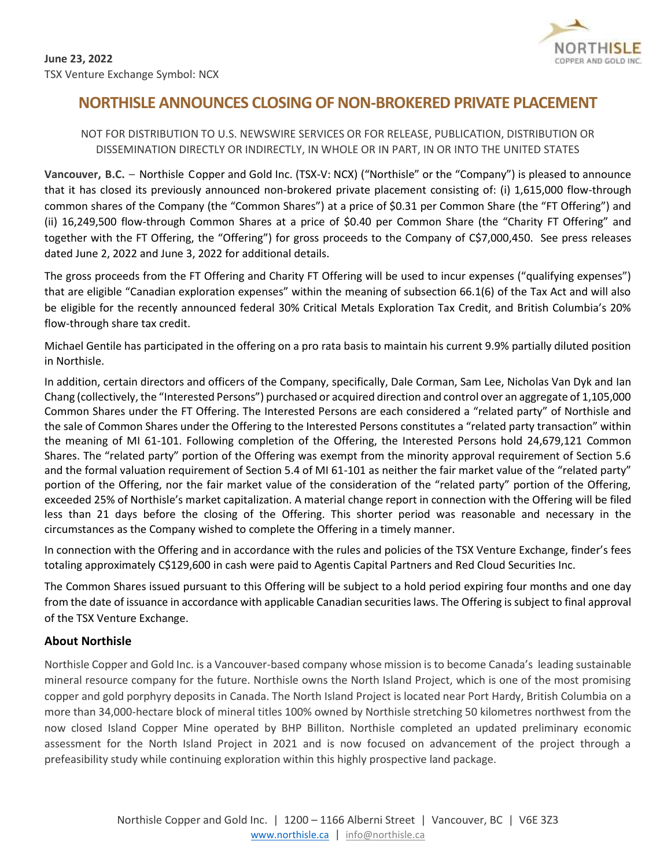

# **NORTHISLE ANNOUNCES CLOSING OF NON-BROKERED PRIVATE PLACEMENT**

## NOT FOR DISTRIBUTION TO U.S. NEWSWIRE SERVICES OR FOR RELEASE, PUBLICATION, DISTRIBUTION OR DISSEMINATION DIRECTLY OR INDIRECTLY, IN WHOLE OR IN PART, IN OR INTO THE UNITED STATES

**Vancouver, B.C.** – Northisle Copper and Gold Inc. (TSX-V: NCX) ("Northisle" or the "Company") is pleased to announce that it has closed its previously announced non-brokered private placement consisting of: (i) 1,615,000 flow-through common shares of the Company (the "Common Shares") at a price of \$0.31 per Common Share (the "FT Offering") and (ii) 16,249,500 flow-through Common Shares at a price of \$0.40 per Common Share (the "Charity FT Offering" and together with the FT Offering, the "Offering") for gross proceeds to the Company of C\$7,000,450. See press releases dated June 2, 2022 and June 3, 2022 for additional details.

The gross proceeds from the FT Offering and Charity FT Offering will be used to incur expenses ("qualifying expenses") that are eligible "Canadian exploration expenses" within the meaning of subsection 66.1(6) of the Tax Act and will also be eligible for the recently announced federal 30% Critical Metals Exploration Tax Credit, and British Columbia's 20% flow-through share tax credit.

Michael Gentile has participated in the offering on a pro rata basis to maintain his current 9.9% partially diluted position in Northisle.

In addition, certain directors and officers of the Company, specifically, Dale Corman, Sam Lee, Nicholas Van Dyk and Ian Chang (collectively, the "Interested Persons") purchased or acquired direction and control over an aggregate of 1,105,000 Common Shares under the FT Offering. The Interested Persons are each considered a "related party" of Northisle and the sale of Common Shares under the Offering to the Interested Persons constitutes a "related party transaction" within the meaning of MI 61-101. Following completion of the Offering, the Interested Persons hold 24,679,121 Common Shares. The "related party" portion of the Offering was exempt from the minority approval requirement of Section 5.6 and the formal valuation requirement of Section 5.4 of MI 61-101 as neither the fair market value of the "related party" portion of the Offering, nor the fair market value of the consideration of the "related party" portion of the Offering, exceeded 25% of Northisle's market capitalization. A material change report in connection with the Offering will be filed less than 21 days before the closing of the Offering. This shorter period was reasonable and necessary in the circumstances as the Company wished to complete the Offering in a timely manner.

In connection with the Offering and in accordance with the rules and policies of the TSX Venture Exchange, finder's fees totaling approximately C\$129,600 in cash were paid to Agentis Capital Partners and Red Cloud Securities Inc.

The Common Shares issued pursuant to this Offering will be subject to a hold period expiring four months and one day from the date of issuance in accordance with applicable Canadian securities laws. The Offering is subject to final approval of the TSX Venture Exchange.

# **About Northisle**

Northisle Copper and Gold Inc. is a Vancouver-based company whose mission is to become Canada's leading sustainable mineral resource company for the future. Northisle owns the North Island Project, which is one of the most promising copper and gold porphyry deposits in Canada. The North Island Project is located near Port Hardy, British Columbia on a more than 34,000-hectare block of mineral titles 100% owned by Northisle stretching 50 kilometres northwest from the now closed Island Copper Mine operated by BHP Billiton. Northisle completed an updated preliminary economic assessment for the North Island Project in 2021 and is now focused on advancement of the project through a prefeasibility study while continuing exploration within this highly prospective land package.